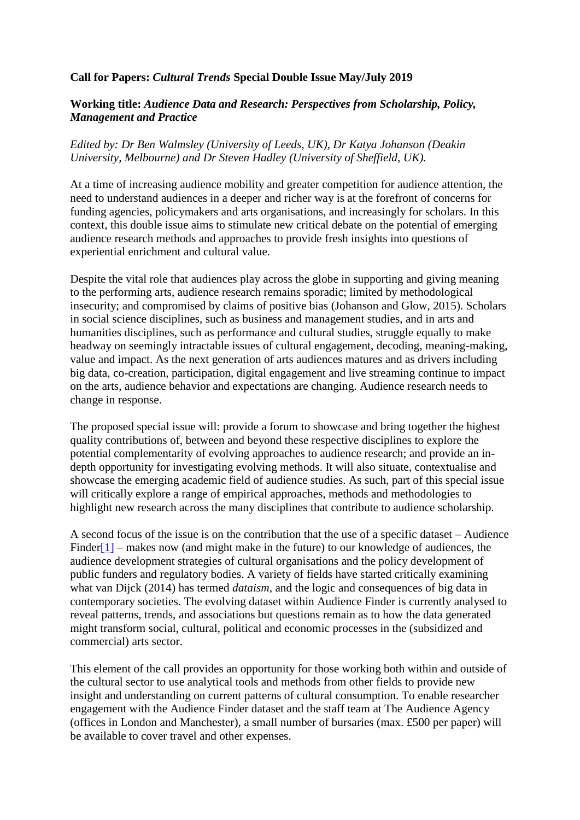## **Call for Papers:** *Cultural Trends* **Special Double Issue May/July 2019**

## **Working title:** *Audience Data and Research: Perspectives from Scholarship, Policy, Management and Practice*

## *Edited by: Dr Ben Walmsley (University of Leeds, UK), Dr Katya Johanson (Deakin University, Melbourne) and Dr Steven Hadley (University of Sheffield, UK).*

At a time of increasing audience mobility and greater competition for audience attention, the need to understand audiences in a deeper and richer way is at the forefront of concerns for funding agencies, policymakers and arts organisations, and increasingly for scholars. In this context, this double issue aims to stimulate new critical debate on the potential of emerging audience research methods and approaches to provide fresh insights into questions of experiential enrichment and cultural value.

Despite the vital role that audiences play across the globe in supporting and giving meaning to the performing arts, audience research remains sporadic; limited by methodological insecurity; and compromised by claims of positive bias (Johanson and Glow, 2015). Scholars in social science disciplines, such as business and management studies, and in arts and humanities disciplines, such as performance and cultural studies, struggle equally to make headway on seemingly intractable issues of cultural engagement, decoding, meaning-making, value and impact. As the next generation of arts audiences matures and as drivers including big data, co-creation, participation, digital engagement and live streaming continue to impact on the arts, audience behavior and expectations are changing. Audience research needs to change in response.

The proposed special issue will: provide a forum to showcase and bring together the highest quality contributions of, between and beyond these respective disciplines to explore the potential complementarity of evolving approaches to audience research; and provide an indepth opportunity for investigating evolving methods. It will also situate, contextualise and showcase the emerging academic field of audience studies. As such, part of this special issue will critically explore a range of empirical approaches, methods and methodologies to highlight new research across the many disciplines that contribute to audience scholarship.

A second focus of the issue is on the contribution that the use of a specific dataset – Audience Finde[r\[1\]](file:///D:/Google%20Drive/CULT%20TRENDS%20EDITOR/Special%20Double%20Issue%202019_/CT%20Special%20Issue%20CFP.docx) – makes now (and might make in the future) to our knowledge of audiences, the audience development strategies of cultural organisations and the policy development of public funders and regulatory bodies. A variety of fields have started critically examining what van Dijck (2014) has termed *dataism*, and the logic and consequences of big data in contemporary societies. The evolving dataset within Audience Finder is currently analysed to reveal patterns, trends, and associations but questions remain as to how the data generated might transform social, cultural, political and economic processes in the (subsidized and commercial) arts sector.

This element of the call provides an opportunity for those working both within and outside of the cultural sector to use analytical tools and methods from other fields to provide new insight and understanding on current patterns of cultural consumption. To enable researcher engagement with the Audience Finder dataset and the staff team at The Audience Agency (offices in London and Manchester), a small number of bursaries (max. £500 per paper) will be available to cover travel and other expenses.